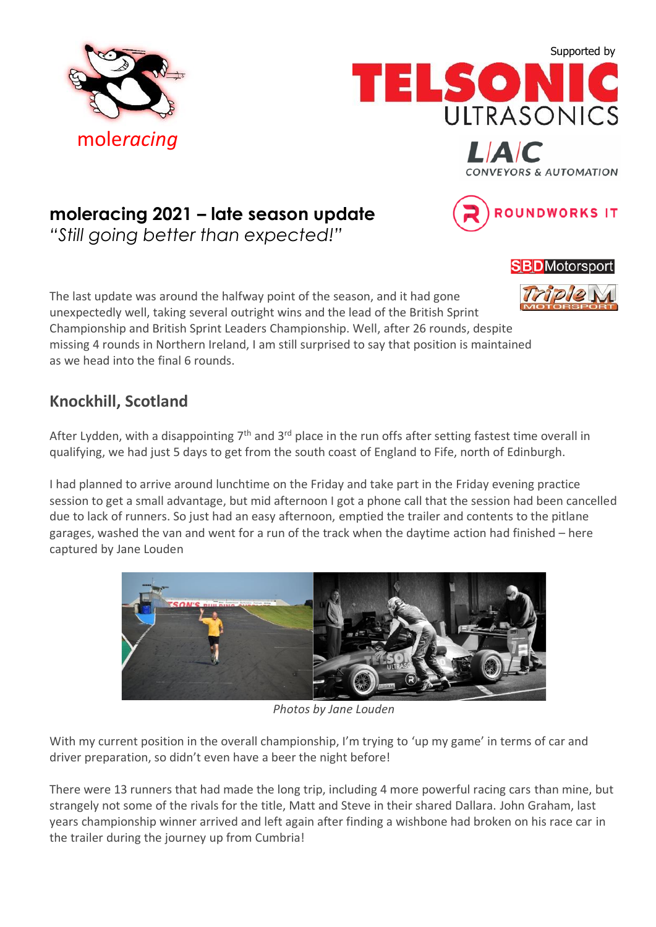





*"Still going better than expected!"*

The last update was around the halfway point of the season, and it had gone unexpectedly well, taking several outright wins and the lead of the British Sprint Championship and British Sprint Leaders Championship. Well, after 26 rounds, despite missing 4 rounds in Northern Ireland, I am still surprised to say that position is maintained as we head into the final 6 rounds.

## **Knockhill, Scotland**

After Lydden, with a disappointing  $7<sup>th</sup>$  and  $3<sup>rd</sup>$  place in the run offs after setting fastest time overall in qualifying, we had just 5 days to get from the south coast of England to Fife, north of Edinburgh.

I had planned to arrive around lunchtime on the Friday and take part in the Friday evening practice session to get a small advantage, but mid afternoon I got a phone call that the session had been cancelled due to lack of runners. So just had an easy afternoon, emptied the trailer and contents to the pitlane garages, washed the van and went for a run of the track when the daytime action had finished – here captured by Jane Louden



*Photos by Jane Louden*

With my current position in the overall championship, I'm trying to 'up my game' in terms of car and driver preparation, so didn't even have a beer the night before!

There were 13 runners that had made the long trip, including 4 more powerful racing cars than mine, but strangely not some of the rivals for the title, Matt and Steve in their shared Dallara. John Graham, last years championship winner arrived and left again after finding a wishbone had broken on his race car in the trailer during the journey up from Cumbria!

**SBD**Motorsport

*NVEYORS & AUTOMATION* 

ROUNDWORKS IT

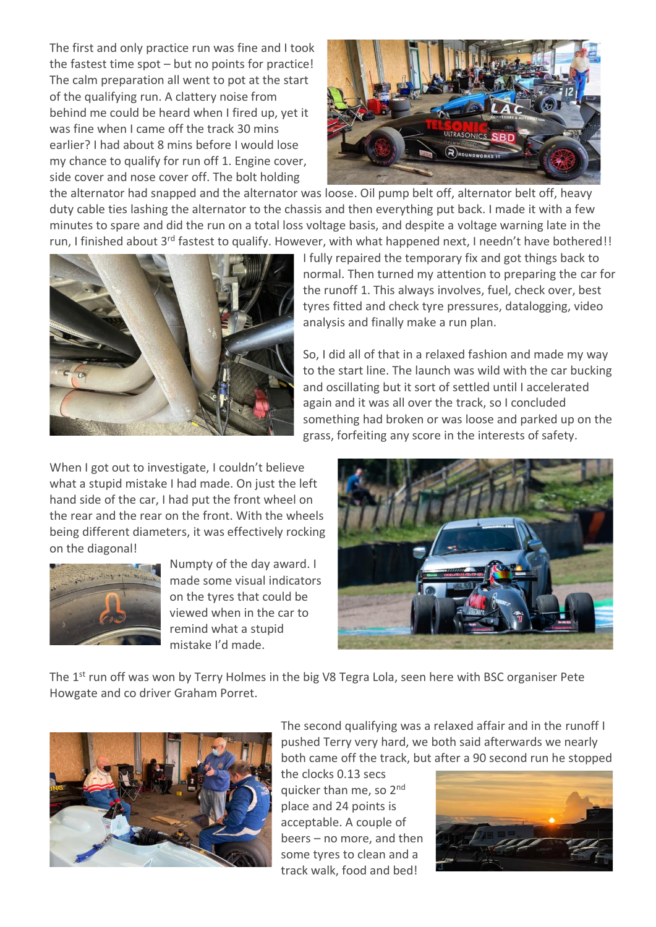The first and only practice run was fine and I took the fastest time spot – but no points for practice! The calm preparation all went to pot at the start of the qualifying run. A clattery noise from behind me could be heard when I fired up, yet it was fine when I came off the track 30 mins earlier? I had about 8 mins before I would lose my chance to qualify for run off 1. Engine cover, side cover and nose cover off. The bolt holding



the alternator had snapped and the alternator was loose. Oil pump belt off, alternator belt off, heavy duty cable ties lashing the alternator to the chassis and then everything put back. I made it with a few minutes to spare and did the run on a total loss voltage basis, and despite a voltage warning late in the run, I finished about 3<sup>rd</sup> fastest to qualify. However, with what happened next, I needn't have bothered!!



When I got out to investigate, I couldn't believe what a stupid mistake I had made. On just the left hand side of the car, I had put the front wheel on the rear and the rear on the front. With the wheels being different diameters, it was effectively rocking on the diagonal!



Numpty of the day award. I made some visual indicators on the tyres that could be viewed when in the car to remind what a stupid mistake I'd made.

I fully repaired the temporary fix and got things back to normal. Then turned my attention to preparing the car for the runoff 1. This always involves, fuel, check over, best tyres fitted and check tyre pressures, datalogging, video analysis and finally make a run plan.

So, I did all of that in a relaxed fashion and made my way to the start line. The launch was wild with the car bucking and oscillating but it sort of settled until I accelerated again and it was all over the track, so I concluded something had broken or was loose and parked up on the grass, forfeiting any score in the interests of safety.



The 1<sup>st</sup> run off was won by Terry Holmes in the big V8 Tegra Lola, seen here with BSC organiser Pete Howgate and co driver Graham Porret.



The second qualifying was a relaxed affair and in the runoff I pushed Terry very hard, we both said afterwards we nearly both came off the track, but after a 90 second run he stopped

the clocks 0.13 secs quicker than me, so 2<sup>nd</sup> place and 24 points is acceptable. A couple of beers – no more, and then some tyres to clean and a track walk, food and bed!

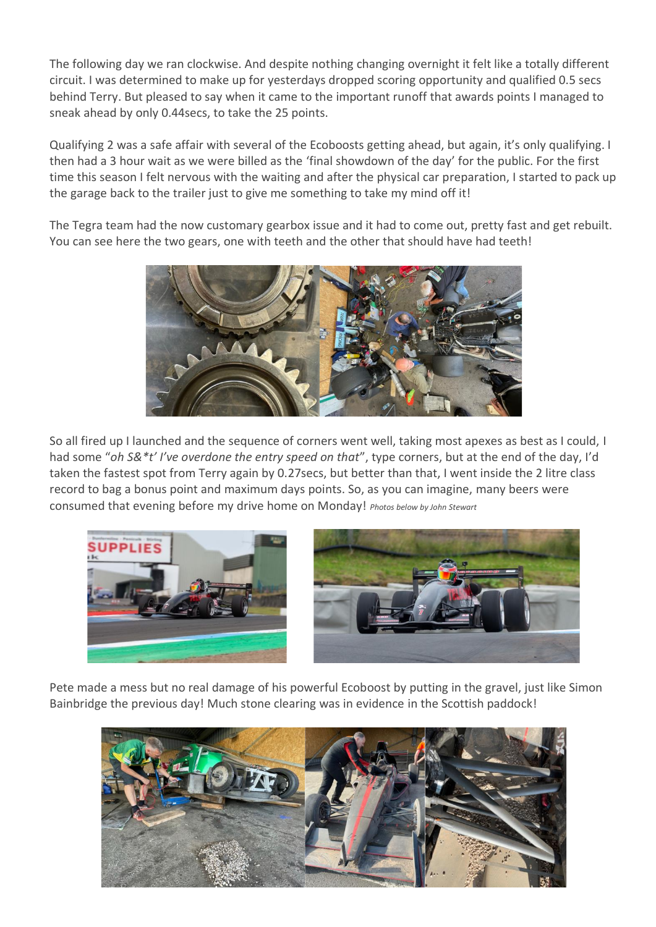The following day we ran clockwise. And despite nothing changing overnight it felt like a totally different circuit. I was determined to make up for yesterdays dropped scoring opportunity and qualified 0.5 secs behind Terry. But pleased to say when it came to the important runoff that awards points I managed to sneak ahead by only 0.44secs, to take the 25 points.

Qualifying 2 was a safe affair with several of the Ecoboosts getting ahead, but again, it's only qualifying. I then had a 3 hour wait as we were billed as the 'final showdown of the day' for the public. For the first time this season I felt nervous with the waiting and after the physical car preparation, I started to pack up the garage back to the trailer just to give me something to take my mind off it!

The Tegra team had the now customary gearbox issue and it had to come out, pretty fast and get rebuilt. You can see here the two gears, one with teeth and the other that should have had teeth!



So all fired up I launched and the sequence of corners went well, taking most apexes as best as I could, I had some "*oh S&\*t' I've overdone the entry speed on that*", type corners, but at the end of the day, I'd taken the fastest spot from Terry again by 0.27secs, but better than that, I went inside the 2 litre class record to bag a bonus point and maximum days points. So, as you can imagine, many beers were consumed that evening before my drive home on Monday! *Photos below by John Stewart*



Pete made a mess but no real damage of his powerful Ecoboost by putting in the gravel, just like Simon Bainbridge the previous day! Much stone clearing was in evidence in the Scottish paddock!

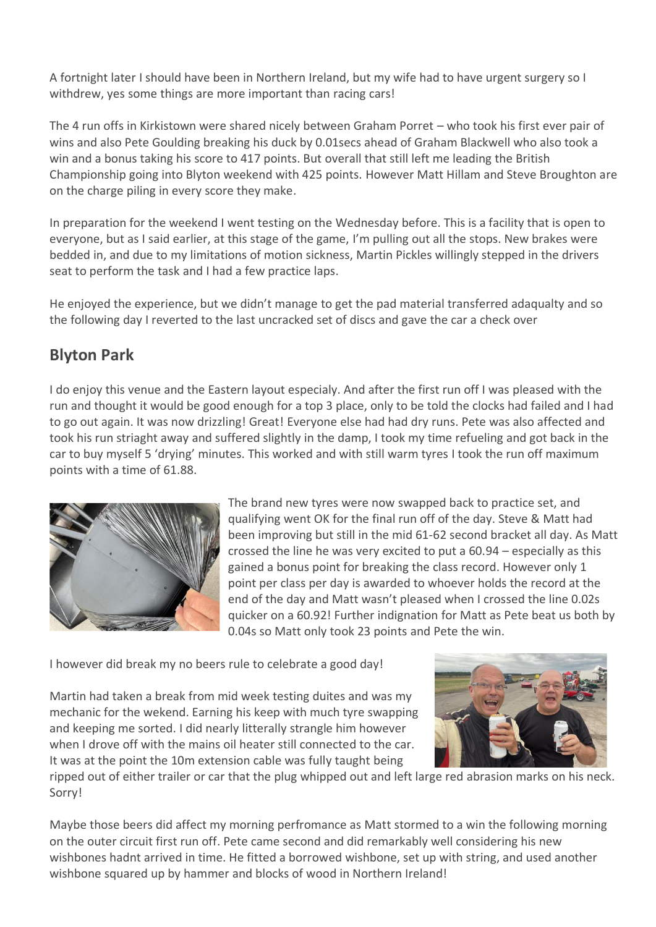A fortnight later I should have been in Northern Ireland, but my wife had to have urgent surgery so I withdrew, yes some things are more important than racing cars!

The 4 run offs in Kirkistown were shared nicely between Graham Porret – who took his first ever pair of wins and also Pete Goulding breaking his duck by 0.01secs ahead of Graham Blackwell who also took a win and a bonus taking his score to 417 points. But overall that still left me leading the British Championship going into Blyton weekend with 425 points. However Matt Hillam and Steve Broughton are on the charge piling in every score they make.

In preparation for the weekend I went testing on the Wednesday before. This is a facility that is open to everyone, but as I said earlier, at this stage of the game, I'm pulling out all the stops. New brakes were bedded in, and due to my limitations of motion sickness, Martin Pickles willingly stepped in the drivers seat to perform the task and I had a few practice laps.

He enjoyed the experience, but we didn't manage to get the pad material transferred adaqualty and so the following day I reverted to the last uncracked set of discs and gave the car a check over

## **Blyton Park**

I do enjoy this venue and the Eastern layout especialy. And after the first run off I was pleased with the run and thought it would be good enough for a top 3 place, only to be told the clocks had failed and I had to go out again. It was now drizzling! Great! Everyone else had had dry runs. Pete was also affected and took his run striaght away and suffered slightly in the damp, I took my time refueling and got back in the car to buy myself 5 'drying' minutes. This worked and with still warm tyres I took the run off maximum points with a time of 61.88.



The brand new tyres were now swapped back to practice set, and qualifying went OK for the final run off of the day. Steve & Matt had been improving but still in the mid 61-62 second bracket all day. As Matt crossed the line he was very excited to put a 60.94 – especially as this gained a bonus point for breaking the class record. However only 1 point per class per day is awarded to whoever holds the record at the end of the day and Matt wasn't pleased when I crossed the line 0.02s quicker on a 60.92! Further indignation for Matt as Pete beat us both by 0.04s so Matt only took 23 points and Pete the win.

I however did break my no beers rule to celebrate a good day!

Martin had taken a break from mid week testing duites and was my mechanic for the wekend. Earning his keep with much tyre swapping and keeping me sorted. I did nearly litterally strangle him however when I drove off with the mains oil heater still connected to the car. It was at the point the 10m extension cable was fully taught being



ripped out of either trailer or car that the plug whipped out and left large red abrasion marks on his neck. Sorry!

Maybe those beers did affect my morning perfromance as Matt stormed to a win the following morning on the outer circuit first run off. Pete came second and did remarkably well considering his new wishbones hadnt arrived in time. He fitted a borrowed wishbone, set up with string, and used another wishbone squared up by hammer and blocks of wood in Northern Ireland!